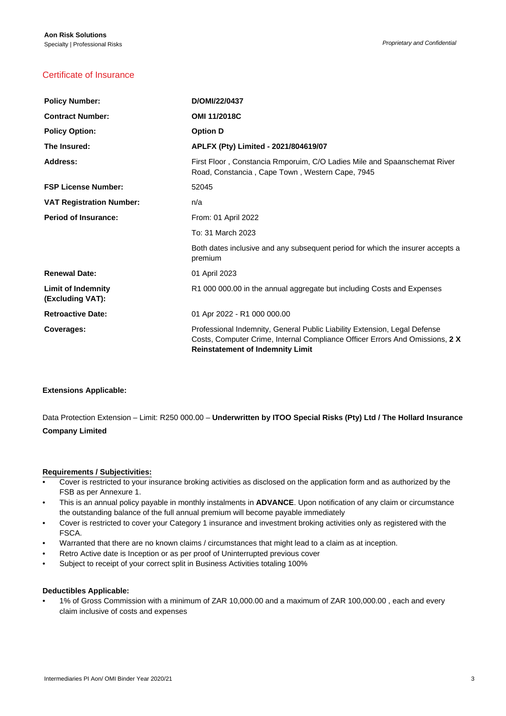# Certificate of Insurance

| <b>Policy Number:</b>                         | D/OMI/22/0437                                                                                                                                                                                        |
|-----------------------------------------------|------------------------------------------------------------------------------------------------------------------------------------------------------------------------------------------------------|
| <b>Contract Number:</b>                       | OMI 11/2018C                                                                                                                                                                                         |
| <b>Policy Option:</b>                         | <b>Option D</b>                                                                                                                                                                                      |
| The Insured:                                  | APLFX (Pty) Limited - 2021/804619/07                                                                                                                                                                 |
| <b>Address:</b>                               | First Floor, Constancia Rmporuim, C/O Ladies Mile and Spaanschemat River<br>Road, Constancia, Cape Town, Western Cape, 7945                                                                          |
| <b>FSP License Number:</b>                    | 52045                                                                                                                                                                                                |
| <b>VAT Registration Number:</b>               | n/a                                                                                                                                                                                                  |
| <b>Period of Insurance:</b>                   | From: 01 April 2022                                                                                                                                                                                  |
|                                               | To: 31 March 2023                                                                                                                                                                                    |
|                                               | Both dates inclusive and any subsequent period for which the insurer accepts a<br>premium                                                                                                            |
| <b>Renewal Date:</b>                          | 01 April 2023                                                                                                                                                                                        |
| <b>Limit of Indemnity</b><br>(Excluding VAT): | R1 000 000.00 in the annual aggregate but including Costs and Expenses                                                                                                                               |
| <b>Retroactive Date:</b>                      | 01 Apr 2022 - R1 000 000.00                                                                                                                                                                          |
| Coverages:                                    | Professional Indemnity, General Public Liability Extension, Legal Defense<br>Costs, Computer Crime, Internal Compliance Officer Errors And Omissions, 2 X<br><b>Reinstatement of Indemnity Limit</b> |

### **Extensions Applicable:**

Data Protection Extension – Limit: R250 000.00 – **Underwritten by ITOO Special Risks (Pty) Ltd / The Hollard Insurance Company Limited**

### **Requirements / Subjectivities:**

- Cover is restricted to your insurance broking activities as disclosed on the application form and as authorized by the FSB as per Annexure 1.
- This is an annual policy payable in monthly instalments in **ADVANCE**. Upon notification of any claim or circumstance the outstanding balance of the full annual premium will become payable immediately
- Cover is restricted to cover your Category 1 insurance and investment broking activities only as registered with the FSCA.
- Warranted that there are no known claims / circumstances that might lead to a claim as at inception.
- Retro Active date is Inception or as per proof of Uninterrupted previous cover
- Subject to receipt of your correct split in Business Activities totaling 100%

### **Deductibles Applicable:**

• 1% of Gross Commission with a minimum of ZAR 10,000.00 and a maximum of ZAR 100,000.00 , each and every claim inclusive of costs and expenses